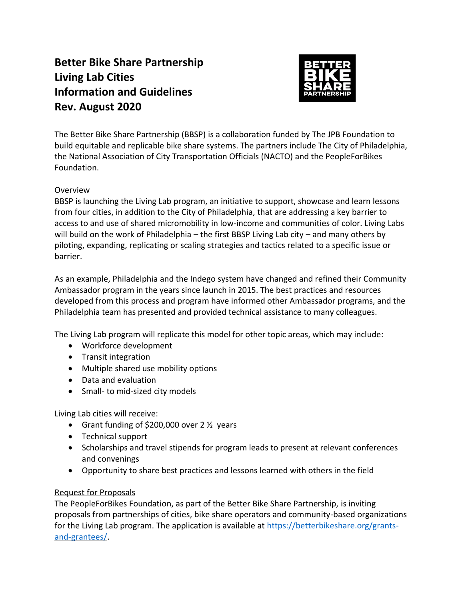# **Better Bike Share Partnership Living Lab Cities Information and Guidelines Rev. August 2020**



The Better Bike Share Partnership (BBSP) is a collaboration funded by The JPB Foundation to build equitable and replicable bike share systems. The partners include The City of Philadelphia, the National Association of City Transportation Officials (NACTO) and the PeopleForBikes Foundation.

## Overview

BBSP is launching the Living Lab program, an initiative to support, showcase and learn lessons from four cities, in addition to the City of Philadelphia, that are addressing a key barrier to access to and use of shared micromobility in low-income and communities of color. Living Labs will build on the work of Philadelphia – the first BBSP Living Lab city – and many others by piloting, expanding, replicating or scaling strategies and tactics related to a specific issue or barrier.

As an example, Philadelphia and the Indego system have changed and refined their Community Ambassador program in the years since launch in 2015. The best practices and resources developed from this process and program have informed other Ambassador programs, and the Philadelphia team has presented and provided technical assistance to many colleagues.

The Living Lab program will replicate this model for other topic areas, which may include:

- Workforce development
- Transit integration
- Multiple shared use mobility options
- Data and evaluation
- Small- to mid-sized city models

Living Lab cities will receive:

- Grant funding of \$200,000 over 2 ½ years
- Technical support
- Scholarships and travel stipends for program leads to present at relevant conferences and convenings
- Opportunity to share best practices and lessons learned with others in the field

### Request for Proposals

The PeopleForBikes Foundation, as part of the Better Bike Share Partnership, is inviting proposals from partnerships of cities, bike share operators and community-based organizations for the Living Lab program. The application is available at [https://betterbikeshare.org/grants](https://betterbikeshare.org/grants-and-grantees/)[and-grantees/.](https://betterbikeshare.org/grants-and-grantees/)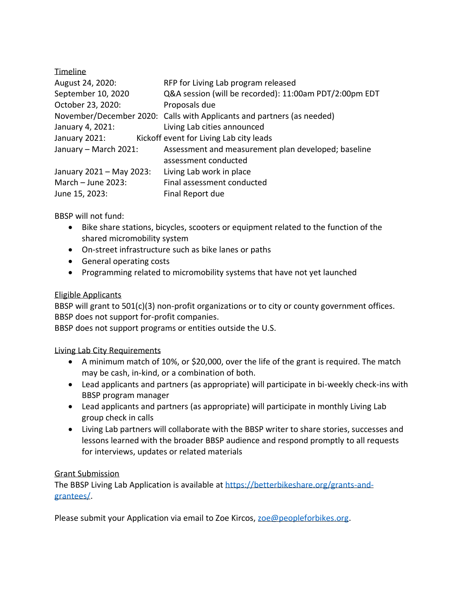| <b>Timeline</b>          |                                                                        |
|--------------------------|------------------------------------------------------------------------|
| August 24, 2020:         | RFP for Living Lab program released                                    |
| September 10, 2020       | Q&A session (will be recorded): 11:00am PDT/2:00pm EDT                 |
| October 23, 2020:        | Proposals due                                                          |
|                          | November/December 2020: Calls with Applicants and partners (as needed) |
| January 4, 2021:         | Living Lab cities announced                                            |
| January 2021:            | Kickoff event for Living Lab city leads                                |
| January - March 2021:    | Assessment and measurement plan developed; baseline                    |
|                          | assessment conducted                                                   |
| January 2021 - May 2023: | Living Lab work in place                                               |
| March $-$ June 2023:     | Final assessment conducted                                             |
| June 15, 2023:           | Final Report due                                                       |

BBSP will not fund:

- Bike share stations, bicycles, scooters or equipment related to the function of the shared micromobility system
- On-street infrastructure such as bike lanes or paths
- General operating costs
- Programming related to micromobility systems that have not yet launched

### Eligible Applicants

BBSP will grant to 501(c)(3) non-profit organizations or to city or county government offices. BBSP does not support for-profit companies.

BBSP does not support programs or entities outside the U.S.

### Living Lab City Requirements

- A minimum match of 10%, or \$20,000, over the life of the grant is required. The match may be cash, in-kind, or a combination of both.
- Lead applicants and partners (as appropriate) will participate in bi-weekly check-ins with BBSP program manager
- Lead applicants and partners (as appropriate) will participate in monthly Living Lab group check in calls
- Living Lab partners will collaborate with the BBSP writer to share stories, successes and lessons learned with the broader BBSP audience and respond promptly to all requests for interviews, updates or related materials

### Grant Submission

The BBSP Living Lab Application is available at [https://betterbikeshare.org/grants-and](https://betterbikeshare.org/grants-and-grantees/)[grantees/.](https://betterbikeshare.org/grants-and-grantees/)

Please submit your Application via email to Zoe Kircos, [zoe@peopleforbikes.org.](mailto:zoe@peopleforbikes.org)